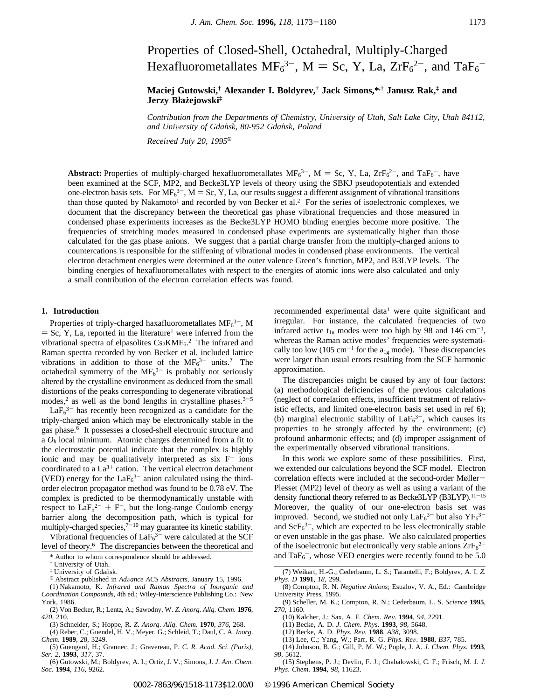# Properties of Closed-Shell, Octahedral, Multiply-Charged Hexafluorometallates  $MF_6^{3-}$ , M = Sc, Y, La,  $ZrF_6^{2-}$ , and  $TaF_6^{-}$

# **Maciej Gutowski,† Alexander I. Boldyrev,† Jack Simons,\*,† Janusz Rak,‡ and**  $J$ **erzy Błażejowski**‡

*Contribution from the Departments of Chemistry, University of Utah, Salt Lake City, Utah 84112, and Uni*V*ersity of Gdan*´*sk, 80-952 Gdan*´*sk, Poland*

*Recei*V*ed July 20, 1995*<sup>X</sup>

**Abstract:** Properties of multiply-charged hexafluorometallates  $MF_6^{3-}$ ,  $M = Sc$ , Y, La,  $ZrF_6^{2-}$ , and  $TaF_6^-$ , have been examined at the SCF, MP2, and Becke3LYP levels of theory using the SBKJ pseudopotentials and extended one-electron basis sets. For  $MF_6^{3-}$ , M = Sc, Y, La, our results suggest a different assignment of vibrational transitions than those quoted by Nakamoto<sup>1</sup> and recorded by von Becker et al.<sup>2</sup> For the series of isoelectronic complexes, we document that the discrepancy between the theoretical gas phase vibrational frequencies and those measured in condensed phase experiments increases as the Becke3LYP HOMO binding energies become more positive. The frequencies of stretching modes measured in condensed phase experiments are systematically higher than those calculated for the gas phase anions. We suggest that a partial charge transfer from the multiply-charged anions to countercations is responsible for the stiffening of vibrational modes in condensed phase environments. The vertical electron detachment energies were determined at the outer valence Green's function, MP2, and B3LYP levels. The binding energies of hexafluorometallates with respect to the energies of atomic ions were also calculated and only a small contribution of the electron correlation effects was found.

# **1. Introduction**

Properties of triply-charged haxafluorometallates  $MF<sub>6</sub><sup>3-</sup>, M$  $=$  Sc, Y, La, reported in the literature<sup>1</sup> were inferred from the vibrational spectra of elpasolites  $Cs<sub>2</sub>KMF<sub>6</sub>.<sup>2</sup>$  The infrared and Raman spectra recorded by von Becker et al. included lattice vibrations in addition to those of the  $MF<sub>6</sub><sup>3-</sup>$  units.<sup>2</sup> The octahedral symmetry of the  $MF<sub>6</sub><sup>3-</sup>$  is probably not seriously altered by the crystalline environment as deduced from the small distortions of the peaks corresponding to degenerate vibrational modes,<sup>2</sup> as well as the bond lengths in crystalline phases.<sup>3-5</sup>

 $LaF<sub>6</sub><sup>3-</sup>$  has recently been recognized as a candidate for the triply-charged anion which may be electronically stable in the gas phase.6 It possesses a closed-shell electronic structure and a *Oh* local minimum. Atomic charges determined from a fit to the electrostatic potential indicate that the complex is highly ionic and may be qualitatively interpreted as six  $F^-$  ions coordinated to a  $La^{3+}$  cation. The vertical electron detachment (VED) energy for the  $LaF_6^{3-}$  anion calculated using the thirdorder electron propagator method was found to be 0.78 eV. The complex is predicted to be thermodynamically unstable with respect to  $\text{LaF}_5{}^{2-} + \text{F}^-$ , but the long-range Coulomb energy barrier along the decomposition path, which is typical for multiply-charged species, $7^{-10}$  may guarantee its kinetic stability.

Vibrational frequencies of  $LaF<sub>6</sub><sup>3-</sup>$  were calculated at the SCF level of theory.6 The discrepancies between the theoretical and

<sup>†</sup> University of Utah.<br><sup>‡</sup> University of Gdańsk.

(1) Nakamoto, K. *Infrared and Raman Spectra of Inorganic and Coordination Compounds*, 4th ed.; Wiley-Interscience Publishing Co.: New York, 1986.

(2) Von Becker, R.; Lentz, A.; Sawodny, W. *Z*. *Anorg*. *Allg*. *Chem*. **1976**, *420*, 210.

(4) Reber, C.; Guendel, H. V.; Meyer, G.; Schleid, T.; Daul, C. A. *Inorg*. *Chem*. **1989**, *28*, 3249.

(5) Guengard, H.; Grannec, J.; Gravereau, P. *C*. *R*. *Acad*. *Sci*. *(Paris)*, *Ser*. *2*, **1993**, *317*, 37.

(6) Gutowski, M.; Boldyrev, A. I.; Ortiz, J. V.; Simons, J. *J*. *Am*. *Chem*. *Soc*. **1994**, *116*, 9262.

recommended experimental data<sup>1</sup> were quite significant and irregular. For instance, the calculated frequencies of two infrared active  $t_{1u}$  modes were too high by 98 and 146 cm<sup>-1</sup>, whereas the Raman active modes' frequencies were systematically too low (105 cm<sup>-1</sup> for the  $a_{1g}$  mode). These discrepancies were larger than usual errors resulting from the SCF harmonic approximation.

The discrepancies might be caused by any of four factors: (a) methodological deficiencies of the previous calculations (neglect of correlation effects, insufficient treatment of relativistic effects, and limited one-electron basis set used in ref 6); (b) marginal electronic stability of  $LaF<sub>6</sub><sup>3-</sup>$ , which causes its properties to be strongly affected by the environment; (c) profound anharmonic effects; and (d) improper assignment of the experimentally observed vibrational transitions.

In this work we explore some of these possibilities. First, we extended our calculations beyond the SCF model. Electron correlation effects were included at the second-order Møller-Plesset (MP2) level of theory as well as using a variant of the density functional theory referred to as Becke3LYP (B3LYP).<sup>11-15</sup> Moreover, the quality of our one-electron basis set was improved. Second, we studied not only  $LaF<sub>6</sub><sup>3-</sup>$  but also  $YF<sub>6</sub><sup>3</sup>$ and  $\text{ScF}_6^{3-}$ , which are expected to be less electronically stable or even unstable in the gas phase. We also calculated properties of the isoelectronic but electronically very stable anions  $\text{ZrF}_6^{\text{2--}}$ \* Author to whom correspondence should be addressed.  $\text{and } TaF_6^-$ , whose VED energies were recently found to be 5.0

- (9) Scheller, M. K.; Compton, R. N.; Cederbaum, L. S. *Science* **1995**, *270*, 1160.
	- (10) Kalcher, J.; Sax, A. F. *Chem*. *Re*V. **1994**, *94*, 2291.
	- (11) Becke, A. D. *J*. *Chem*. *Phys*. **1993**, *98*, 5648.
	- (12) Becke, A. D. *Phys*. *Re*V. **1988**, *A38*, 3098.

(13) Lee, C.; Yang, W.; Parr, R. G. *Phys*. *Re*V. **1988**, *B37*, 785.

(14) Johnson, B. G.; Gill, P. M. W.; Pople, J. A. *J*. *Chem*. *Phys*. **1993**, *98*, 5612.

(15) Stephens, P. J.; Devlin, F. J.; Chabalowski, C. F.; Frisch, M. J. *J*. *Phys*. *Chem*. **1994**, *98*, 11623.

<sup>&</sup>lt;sup>®</sup> Abstract published in *Advance ACS Abstracts*, January 15, 1996.

<sup>(3)</sup> Schneider, S.; Hoppe, R. *Z*. *Anorg*. *Allg*. *Chem*. **1970**, *376*, 268.

<sup>(7)</sup> Weikart, H.-G.; Cederbaum, L. S.; Tarantelli, F.; Boldyrev, A. I. *Z*. *Phys*. *D* **1991**, *18*, 299.

<sup>(8)</sup> Compton, R. N. *Negati*V*e Anions*; Esualov, V. A., Ed.: Cambridge University Press, 1995.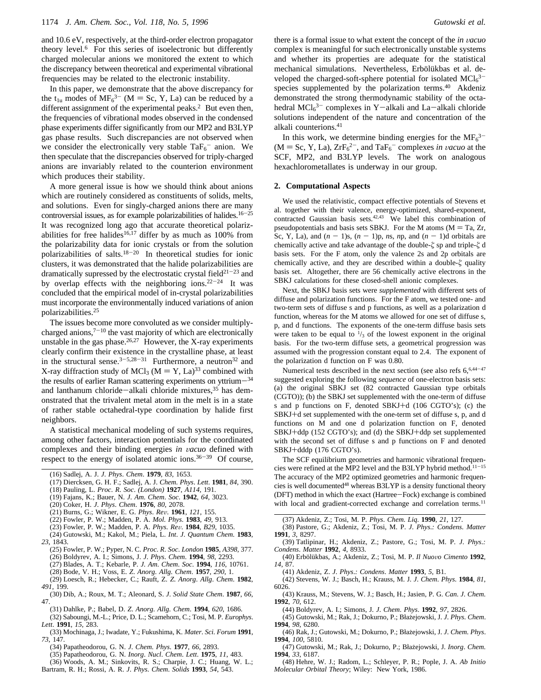and 10.6 eV, respectively, at the third-order electron propagator theory level.6 For this series of isoelectronic but differently charged molecular anions we monitored the extent to which the discrepancy between theoretical and experimental vibrational frequencies may be related to the electronic instability.

In this paper, we demonstrate that the above discrepancy for the t<sub>1u</sub> modes of MF<sub>6</sub><sup>3-</sup> (M = Sc, Y, La) can be reduced by a different assignment of the experimental peaks.<sup>2</sup> But even then, the frequencies of vibrational modes observed in the condensed phase experiments differ significantly from our MP2 and B3LYP gas phase results. Such discrepancies are not observed when we consider the electronically very stable  $TaF_6$ <sup>-</sup> anion. We then speculate that the discrepancies observed for triply-charged anions are invariably related to the counterion environment which produces their stability.

A more general issue is how we should think about anions which are routinely considered as constituents of solids, melts, and solutions. Even for singly-charged anions there are many controversial issues, as for example polarizabilities of halides. $16-25$ It was recognized long ago that accurate theoretical polarizabilities for free halides<sup>16,17</sup> differ by as much as  $100\%$  from the polarizability data for ionic crystals or from the solution polarizabilities of salts.18-<sup>20</sup> In theoretical studies for ionic clusters, it was demonstrated that the halide polarizabilities are dramatically supressed by the electrostatic crystal field $2^{1-23}$  and by overlap effects with the neighboring ions. $22-24$  It was concluded that the empirical model of in-crystal polarizabilities must incorporate the environmentally induced variations of anion polarizabilities.25

The issues become more convoluted as we consider multiplycharged anions, $7^{-10}$  the vast majority of which are electronically unstable in the gas phase. $26,27$  However, the X-ray experiments clearly confirm their existence in the crystalline phase, at least in the structural sense.<sup>3-5,28-31</sup> Furthermore, a neutron<sup>32</sup> and X-ray diffraction study of MCl<sub>3</sub> ( $M = Y$ , La)<sup>33</sup> combined with the results of earlier Raman scattering experiments on yttrium-<sup>34</sup> and lanthanum chloride-alkali chloride mixtures,<sup>35</sup> has demonstrated that the trivalent metal atom in the melt is in a state of rather stable octahedral-type coordination by halide first neighbors.

A statistical mechanical modeling of such systems requires, among other factors, interaction potentials for the coordinated complexes and their binding energies *in vacuo* defined with respect to the energy of isolated atomic ions.36-<sup>39</sup> Of course,

- (17) Diercksen, G. H. F.; Sadlej, A. J. *Chem*. *Phys*. *Lett*. **1981**, *84*, 390.
- (18) Pauling, L. *Proc*. *R*. *Soc*. *(London)* **1927**, *A114*, 191.
- (19) Fajans, K.; Bauer, N. *J*. *Am*. *Chem*. *Soc*. **1942**, *64*, 3023.
- (20) Coker, H. *J*. *Phys*. *Chem*. **1976**, *80*, 2078.
- (21) Burns, G.; Wikner, E. G. *Phys*. *Re*V. **1961**, *121*, 155.
- (22) Fowler, P. W.; Madden, P. A. *Mol*. *Phys*. **1983**, *49*, 913.
- (23) Fowler, P. W.; Madden, P. A. *Phys*. *Re*V. **1984**, *B29*, 1035.
- (24) Gutowski, M.; Kakol, M.; Piela, L. *Int*. *J*. *Quantum Chem*. **1983**, *23*, 1843.
	- (25) Fowler, P. W.; Pyper, N. C. *Proc*. *R*. *Soc*. *London* **1985**, *A398*, 377.
	- (26) Boldyrev, A. I.; Simons, J. *J*. *Phys*. *Chem*. **1994**, *98*, 2293.
	- (27) Blades, A. T.; Kebarle, P. *J*. *Am*. *Chem*. *Soc*. **1994**, *116*, 10761.
	- (28) Bode, V. H.; Voss, E. *Z*. *Anorg*. *Allg*. *Chem*. **1957**, *290*, 1.
- (29) Loesch, R.; Hebecker, C.; Rauft, Z. *Z*. *Anorg*. *Allg*. *Chem*. **1982**, *491*, 199.
- (30) Dib, A.; Roux, M. T.; Aleonard, S. *J*. *Solid State Chem*. **1987**, *66*, 47.
- (31) Dahlke, P.; Babel, D. *Z*. *Anorg*. *Allg*. *Chem*. **1994**, *620*, 1686.
- (32) Saboungi, M.-L.; Price, D. L.; Scamehorn, C.; Tosi, M. P. *Europhys*. *Lett*. **1991**, *15*, 283.
- (33) Mochinaga, J.; Iwadate, Y.; Fukushima, K. *Mater*. *Sci*. *Forum* **1991**, *73*, 147.
	- (34) Papatheodorou, G. N. *J*. *Chem*. *Phys*. **1977**, *66*, 2893.
	- (35) Papatheodorou, G. N. *Inorg*. *Nucl*. *Chem*. *Lett*. **1975**, *11*, 483.
- (36) Woods, A. M.; Sinkovits, R. S.; Charpie, J. C.; Huang, W. L.; Bartram, R. H.; Rossi, A. R. *J*. *Phys*. *Chem*. *Solids* **1993**, *54*, 543.

there is a formal issue to what extent the concept of the *in* V*acuo* complex is meaningful for such electronically unstable systems and whether its properties are adequate for the statistical mechanical simulations. Nevertheless, Erbölükbas et al. developed the charged-soft-sphere potential for isolated  $MCI_6^{3-}$ species supplemented by the polarization terms.40 Akdeniz demonstrated the strong thermodynamic stability of the octahedral  $MCI_6^{3-}$  complexes in Y-alkali and La-alkali chloride solutions independent of the nature and concentration of the alkali counterions.<sup>41</sup>

In this work, we determine binding energies for the  $MF<sub>6</sub><sup>3–</sup>$  $(M = Sc, Y, La), ZrF<sub>6</sub><sup>2-</sup>, and TaF<sub>6</sub><sup>-</sup> complexes *in vacuo* at the$ SCF, MP2, and B3LYP levels. The work on analogous hexachlorometallates is underway in our group.

#### **2. Computational Aspects**

We used the relativistic, compact effective potentials of Stevens et al. together with their valence, energy-optimized, shared-exponent, contracted Gaussian basis sets.<sup>42,43</sup> We label this combination of pseudopotentials and basis sets SBKJ. For the M atoms  $(M = Ta, Zr,$ Sc, Y, La), and  $(n - 1)s$ ,  $(n - 1)p$ , *ns*, *np*, and  $(n - 1)d$  orbitals are chemically active and take advantage of the double-*ú* sp and triple-*ú* d basis sets. For the F atom, only the valence 2s and 2p orbitals are chemically active, and they are described within a double-*ú* quality basis set. Altogether, there are 56 chemically active electrons in the SBKJ calculations for these closed-shell anionic complexes.

Next, the SBKJ basis sets were *supplemented* with different sets of diffuse and polarization functions. For the F atom, we tested one- and two-term sets of diffuse s and p functions, as well as a polarization d function, whereas for the M atoms we allowed for one set of diffuse s, p, and d functions. The exponents of the one-term diffuse basis sets were taken to be equal to  $\frac{1}{3}$  of the lowest exponent in the original basis. For the two-term diffuse sets, a geometrical progression was assumed with the progression constant equal to 2.4. The exponent of the polarization d function on F was 0.80.

Numerical tests described in the next section (see also refs 6,6,44-47) suggested exploring the following *sequence* of one-electron basis sets: (a) the original SBKJ set (82 contracted Gaussian type orbitals (CGTO)); (b) the SBKJ set supplemented with the one-term of diffuse s and p functions on F, denoted SBKJ+d (106 CGTO's); (c) the SBKJ+d set supplemented with the one-term set of diffuse s, p, and d functions on M and one d polarization function on F, denoted SBKJ+ddp (152 CGTO's); and (d) the SBKJ+ddp set supplemented with the second set of diffuse s and p functions on F and denoted SBKJ+dddp (176 CGTO's).

The SCF equilibrium geometries and harmonic vibrational frequencies were refined at the MP2 level and the B3LYP hybrid method.<sup>11-15</sup> The accuracy of the MP2 optimized geometries and harmonic frequencies is well documented<sup>48</sup> whereas B3LYP is a density functional theory (DFT) method in which the exact (Hartree-Fock) exchange is combined with local and gradient-corrected exchange and correlation terms.<sup>11</sup>

- (38) Pastore, G.; Akdeniz, Z.; Tosi, M. P. *J*. *Phys*.*: Condens*. *Matter* **1991**, *3*, 8297.
- (39) Tatlipinar, H.; Akdeniz, Z.; Pastore, G.; Tosi, M. P. *J*. *Phys*.*: Condens*. *Matter* **1992**, *4*, 8933.
- (40) Erbo¨lu¨kbas, A.; Akdeniz, Z.; Tosi, M. P. *Il Nuo*V*o Cimento* **1992**, *14*, 87.
	- (41) Akdeniz, Z. *J*. *Phys*.*: Condens*. *Matter* **1993**, *5*, B1.
- (42) Stevens, W. J.; Basch, H.; Krauss, M. J. *J*. *Chem*. *Phys*. **1984**, *81*, 6026.
- (43) Krauss, M.; Stevens, W. J.; Basch, H.; Jasien, P. G. *Can*. *J*. *Chem*. **1992**, *70*, 612.
	- (44) Boldyrev, A. I.; Simons, J. *J*. *Chem*. *Phys*. **1992**, *97*, 2826.
- (45) Gutowski, M.; Rak, J.; Dokurno, P.; Błażejowski, J. *J. Phys. Chem.* **1994**, *98*, 6280.
- (46) Rak, J.; Gutowski, M.; Dokurno, P.; Błażejowski, J. *J. Chem. Phys.* **1994**, *100*, 5810.
- (47) Gutowski, M.; Rak, J.; Dokurno, P.; Błażejowski, J. *Inorg. Chem.* **1994**, *33*, 6187.
- (48) Hehre, W. J.; Radom, L.; Schleyer, P. R.; Pople, J. A. *Ab Initio Molecular Orbital Theory*; Wiley: New York, 1986.

<sup>(16)</sup> Sadlej, A. J. *J*. *Phys*. *Chem*. **1979**, *83*, 1653.

<sup>(37)</sup> Akdeniz, Z.; Tosi, M. P. *Phys*. *Chem*. *Liq*. **1990**, *21*, 127.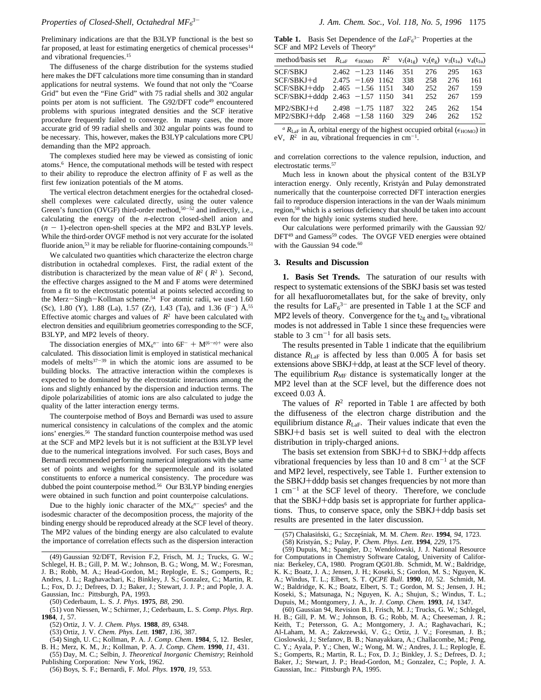Preliminary indications are that the B3LYP functional is the best so far proposed, at least for estimating energetics of chemical processes<sup>14</sup> and vibrational frequencies.15

The diffuseness of the charge distribution for the systems studied here makes the DFT calculations more time consuming than in standard applications for neutral systems. We found that not only the "Coarse Grid" but even the "Fine Grid" with 75 radial shells and 302 angular points per atom is not sufficient. The G92/DFT code<sup>49</sup> encountered problems with spurious integrated densities and the SCF iterative procedure frequently failed to converge. In many cases, the more accurate grid of 99 radial shells and 302 angular points was found to be necessary. This, however, makes the B3LYP calculations more CPU demanding than the MP2 approach.

The complexes studied here may be viewed as consisting of ionic atoms.6 Hence, the computational methods will be tested with respect to their ability to reproduce the electron affinity of F as well as the first few ionization potentials of the M atoms.

The vertical electron detachment energies for the octahedral closedshell complexes were calculated directly, using the outer valence Green's function (OVGF) third-order method,<sup>50-52</sup> and indirectly, i.e., calculating the energy of the *n*-electron closed-shell anion and  $(n - 1)$ -electron open-shell species at the MP2 and B3LYP levels. While the third-order OVGF method is not very accurate for the isolated fluoride anion,<sup>53</sup> it may be reliable for fluorine-containing compounds.<sup>51</sup>

We calculated two quantities which characterize the electron charge distribution in octahedral complexes. First, the radial extent of the distribution is characterized by the mean value of  $R^2$  ( $\langle R^2 \rangle$ ). Second, the effective charges assigned to the M and F atoms were determined from a fit to the electrostatic potential at points selected according to the Merz-Singh-Kollman scheme.<sup>54</sup> For atomic radii, we used 1.60 (Sc), 1.80 (Y), 1.88 (La), 1.57 (Zr), 1.43 (Ta), and 1.36 (F<sup>-</sup>)  $\AA$ <sup>55</sup> Effective atomic charges and values of  $\langle R^2 \rangle$  have been calculated with electron densities and equilibrium geometries corresponding to the SCF, B3LYP, and MP2 levels of theory.

The dissociation energies of  $MX_6^{n-}$  into  $6F^- + M^{(6-n)+}$  were also calculated. This dissociation limit is employed in statistical mechanical models of melts $37-39$  in which the atomic ions are assumed to be building blocks. The attractive interaction within the complexes is expected to be dominated by the electrostatic interactions among the ions and slightly enhanced by the dispersion and induction terms. The dipole polarizabilities of atomic ions are also calculated to judge the quality of the latter interaction energy terms.

The counterpoise method of Boys and Bernardi was used to assure numerical consistency in calculations of the complex and the atomic ions' energies.56 The standard function counterpoise method was used at the SCF and MP2 levels but it is not sufficient at the B3LYP level due to the numerical integrations involved. For such cases, Boys and Bernardi recommended performing numerical integrations with the same set of points and weights for the supermolecule and its isolated constituents to enforce a numerical consistency. The procedure was dubbed the point counterpoise method.<sup>56</sup> Our B3LYP binding energies were obtained in such function and point counterpoise calculations.

Due to the highly ionic character of the  $MX_6^{n-}$  species<sup>6</sup> and the isodesmic character of the decomposition process, the majority of the binding energy should be reproduced already at the SCF level of theory. The MP2 values of the binding energy are also calculated to evalute the importance of correlation effects such as the dispersion interaction

(51) von Niessen, W.; Schirmer, J.; Cederbaum, L. S. *Comp*. *Phys*. *Rep*. **1984**, *1*, 57.

- B. H.; Merz, K. M., Jr.; Kollman, P. A. *J*. *Comp*. *Chem*. **1990**, *11*, 431. (55) Day, M. C.; Selbin, J. *Theoretical Inorganic Chemistry*; Reinhold
- Publishing Corporation: New York, 1962.
	- (56) Boys, S. F.; Bernardi, F. *Mol*. *Phys*. **1970**, *19*, 553.

**Table 1.** Basis Set Dependence of the  $LaF<sub>6</sub><sup>3-</sup>$  Properties at the SCF and MP2 Levels of Theory*<sup>a</sup>*

| method/basis set                                                           |                                                                   | $R_{\text{LaF}}$ $\epsilon_{\text{HOMO}}$ $\langle R^2 \rangle$ $v_1(a_{1g})$ $v_2(e_g)$ $v_3(t_{1u})$ $v_4(t_{1u})$ |                          |                          |                          |
|----------------------------------------------------------------------------|-------------------------------------------------------------------|----------------------------------------------------------------------------------------------------------------------|--------------------------|--------------------------|--------------------------|
| SCF/SBKJ<br>SCF/SBKJ+d<br>SCF/SBKJ+ddp<br>SCF/SBKJ+dddp $2.463 -1.57$ 1150 | $2.462 - 1.23$ 1146<br>$2.475 - 1.69$ 1162<br>$2.465 - 1.56$ 1151 | 351<br>338<br>340<br>341                                                                                             | 276<br>258<br>252<br>252 | 295<br>276<br>267<br>267 | 163<br>161<br>159<br>159 |
| $MP2/SBKJ+d$<br>MP2/SBKJ+ddp                                               | $2.498 - 1.75$ 1187<br>$2.468 - 1.58$ 1160                        | 322<br>329                                                                                                           | 245<br>246               | 262<br>262               | 154<br>152               |

 ${}^a R_{\text{LaF}}$  in Å, orbital energy of the highest occupied orbital ( $\epsilon_{\text{HOMO}}$ ) in eV,  $\langle R^2 \rangle$  in au, vibrational frequencies in cm<sup>-1</sup>.

and correlation corrections to the valence repulsion, induction, and electrostatic terms.57

Much less in known about the physical content of the B3LYP interaction energy. Only recently, Kristyán and Pulay demonstrated numerically that the counterpoise corrected DFT interaction energies fail to reproduce dispersion interactions in the van der Waals minimum region,58 which is a serious deficiency that should be taken into account even for the highly ionic systems studied here.

Our calculations were performed primarily with the Gaussian 92/ DFT<sup>49</sup> and Gamess<sup>59</sup> codes. The OVGF VED energies were obtained with the Gaussian 94 code.<sup>60</sup>

# **3. Results and Discussion**

**1. Basis Set Trends.** The saturation of our results with respect to systematic extensions of the SBKJ basis set was tested for all hexafluorometallates but, for the sake of brevity, only the results for  $LaF<sub>6</sub><sup>3-</sup>$  are presented in Table 1 at the SCF and MP2 levels of theory. Convergence for the  $t_{2g}$  and  $t_{2u}$  vibrational modes is not addressed in Table 1 since these frequencies were stable to 3  $cm^{-1}$  for all basis sets.

The results presented in Table 1 indicate that the equilibrium distance  $R_{\text{LaF}}$  is affected by less than 0.005 Å for basis set extensions above SBKJ+ddp, at least at the SCF level of theory. The equilibrium  $R_{MF}$  distance is systematically longer at the MP2 level than at the SCF level, but the difference does not exceed 0.03 Å.

The values of  $\langle R^2 \rangle$  reported in Table 1 are affected by both the diffuseness of the electron charge distribution and the equilibrium distance *R*LaF. Their values indicate that even the SBKJ+d basis set is well suited to deal with the electron distribution in triply-charged anions.

The basis set extension from SBKJ+d to SBKJ+ddp affects vibrational frequencies by less than 10 and 8  $cm^{-1}$  at the SCF and MP2 level, respectively, see Table 1. Further extension to the SBKJ+dddp basis set changes frequencies by not more than  $1 \text{ cm}^{-1}$  at the SCF level of theory. Therefore, we conclude that the SBKJ+ddp basis set is appropriate for further applications. Thus, to conserve space, only the SBKJ+ddp basis set results are presented in the later discussion.

(59) Dupuis, M.; Spangler, D.; Wendolowski, J. J. National Resource for Computations in Chemistry Software Catalog, University of California: Berkeley, CA, 1980. Program QG01.8b. Schmidt, M. W.; Baldridge, K. K.; Boatz, J. A.; Jensen, J. H.; Koseki, S.; Gordon, M. S.; Nguyen, K. A.; Windus, T. L.; Elbert, S. T. *QCPE Bull*. **1990**, *10*, 52. Schmidt, M. W.; Baldridge, K. K.; Boatz, Elbert, S. T.; Gordon, M. S.; Jensen, J. H.; Koseki, S.; Matsunaga, N.; Nguyen, K. A.; Shujun, S.; Windus, T. L.; Dupuis, M.; Montgomery, J. A., Jr. *J*. *Comp*. *Chem*. **1993**, *14*, 1347.

<sup>(49)</sup> Gaussian 92/DFT, Revision F.2, Frisch, M. J.; Trucks, G. W.; Schlegel, H. B.; Gill, P. M. W.; Johnson, B. G.; Wong, M. W.; Foresman, J. B.; Robb, M. A.; Head-Gordon, M.; Replogle, E. S.; Gomperts, R.; Andres, J. L.; Raghavachari, K.; Binkley, J. S.; Gonzalez, C.; Martin, R. L.; Fox, D. J.; Defrees, D. J.; Baker, J.; Stewart, J. J. P.; and Pople, J. A. Gaussian, Inc.: Pittsburgh, PA, 1993.

<sup>(50)</sup> Cederbaum, L. S. *J*. *Phys*. **1975**, *B8*, 290.

<sup>(52)</sup> Ortiz, J. V. *J*. *Chem*. *Phys*. **1988**, *89*, 6348.

<sup>(53)</sup> Ortiz, J. V. *Chem*. *Phys*. *Lett*. **1987**, *136*, 387.

<sup>(54)</sup> Singh, U. C.; Kollman, P. A. *J*. *Comp*. *Chem*. **1984**, *5*, 12. Besler,

<sup>(57)</sup> Chałasiński, G.; Szczęśniak, M. M. *Chem. Rev.* 1994, 94, 1723. (58) Kristya´n, S.; Pulay, P. *Chem*. *Phys*. *Lett*. **1994**, *229*, 175.

 $(60)$  Gaussian 94, Revision B.1, Frisch, M. J.; Trucks, G. W.; Schlegel, H. B.; Gill, P. M. W.; Johnson, B. G.; Robb, M. A.; Cheeseman, J. R.; Keith, T.; Petersson, G. A.; Montgomery, J. A.; Raghavachari, K.; Al-Laham, M. A.; Zakrzewski, V. G.; Ortiz, J. V.; Foresman, J. B.; Cioslowski, J.; Stefanov, B. B.; Nanayakkara, A.; Challacombe, M.; Peng, C. Y.; Ayala, P. Y.; Chen, W.; Wong, M. W.; Andres, J. L.; Replogle, E. S.; Gomperts, R.; Martin, R. L.; Fox, D. J.; Binkley, J. S.; Defrees, D. J.; Baker, J.; Stewart, J. P.; Head-Gordon, M.; Gonzalez, C.; Pople, J. A. Gaussian, Inc.: Pittsburgh PA, 1995.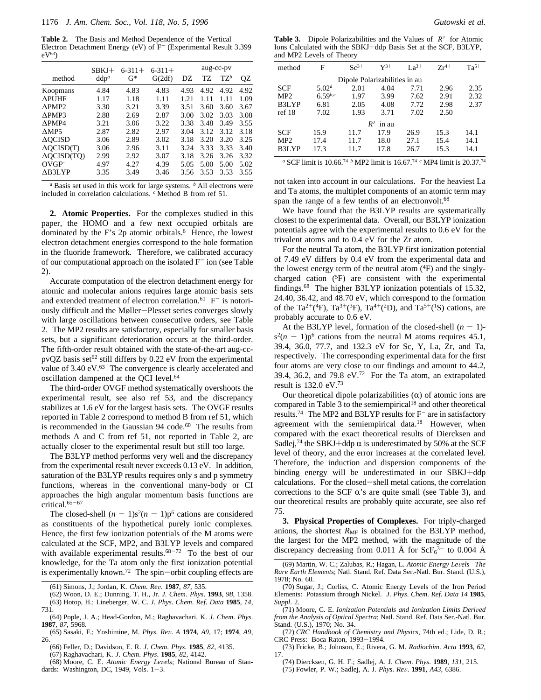**Table 2.** The Basis and Method Dependence of the Vertical Electron Detachment Energy (eV) of F<sup>-</sup> (Experimental Result 3.399  $eV^{63}$ 

|                                                 | SBKJ+            | $6 - 311 +$ | $6 - 311 +$ | aug-cc-py |      |         |      |
|-------------------------------------------------|------------------|-------------|-------------|-----------|------|---------|------|
| method                                          | ddp <sup>a</sup> | G*          | G(2df)      | DZ        | TZ   | $T Z^b$ | QZ   |
| Koopmans                                        | 4.84             | 4.83        | 4.83        | 4.93      | 4.92 | 4.92    | 4.92 |
| <b>APUHF</b>                                    | 1.17             | 1.18        | 1.11        | 1.21      | 1.11 | 1.11    | 1.09 |
| APMP <sub>2</sub>                               | 3.30             | 3.21        | 3.39        | 3.51      | 3.60 | 3.60    | 3.67 |
| APMP3                                           | 2.88             | 2.69        | 2.87        | 3.00      | 3.02 | 3.03    | 3.08 |
| APMP4                                           | 3.21             | 3.06        | 3.22        | 3.38      | 3.48 | 3.49    | 3.55 |
| $\triangle MP5$                                 | 2.87             | 2.82        | 2.97        | 3.04      | 3.12 | 3.12    | 3.18 |
| $\triangle$ OCISD                               | 3.06             | 2.89        | 3.02        | 3.18      | 3.20 | 3.20    | 3.25 |
| $\triangle OCISD(T)$                            | 3.06             | 2.96        | 3.11        | 3.24      | 3.33 | 3.33    | 3.40 |
| $\triangle OCISD(TO)$                           | 2.99             | 2.92        | 3.07        | 3.18      | 3.26 | 3.26    | 3.32 |
| $\mathbf{O} \mathbf{V} \mathbf{G} \mathbf{F}^c$ | 4.97             | 4.27        | 4.39        | 5.05      | 5.00 | 5.00    | 5.02 |
| AB3LYP                                          | 3.35             | 3.49        | 3.46        | 3.56      | 3.53 | 3.53    | 3.55 |

*<sup>a</sup>* Basis set used in this work for large systems. *<sup>b</sup>* All electrons were included in correlation calculations. *<sup>c</sup>* Method B from ref 51.

**2. Atomic Properties.** For the complexes studied in this paper, the HOMO and a few next occupied orbitals are dominated by the F's  $2p$  atomic orbitals.<sup>6</sup> Hence, the lowest electron detachment energies correspond to the hole formation in the fluoride framework. Therefore, we calibrated accuracy of our computational approach on the isolated  $F^-$  ion (see Table 2).

Accurate computation of the electron detachment energy for atomic and molecular anions requires large atomic basis sets and extended treatment of electron correlation.<sup>61</sup>  $F^-$  is notoriously difficult and the Møller-Plesset series converges slowly with large oscillations between consecutive orders, see Table 2. The MP2 results are satisfactory, especially for smaller basis sets, but a significant deterioration occurs at the third-order. The fifth-order result obtained with the state-of-the-art aug-ccpvQZ basis set<sup>62</sup> still differs by 0.22 eV from the experimental value of 3.40 eV.<sup>63</sup> The convergence is clearly accelerated and oscillation dampened at the QCI level.<sup>64</sup>

The third-order OVGF method systematically overshoots the experimental result, see also ref 53, and the discrepancy stabilizes at 1.6 eV for the largest basis sets. The OVGF results reported in Table 2 correspond to method B from ref 51, which is recommended in the Gaussian 94 code.<sup>60</sup> The results from methods A and C from ref 51, not reported in Table 2, are actually closer to the experimental result but still too large.

The B3LYP method performs very well and the discrepancy from the experimental result never exceeds 0.13 eV. In addition, saturation of the B3LYP results requires only s and p symmetry functions, whereas in the conventional many-body or CI approaches the high angular momentum basis functions are critical.65-<sup>67</sup>

The closed-shell  $(n - 1)s^2(n - 1)p^6$  cations are considered as constituents of the hypothetical purely ionic complexes. Hence, the first few ionization potentials of the M atoms were calculated at the SCF, MP2, and B3LYP levels and compared with available experimental results. $68-72$  To the best of our knowledge, for the Ta atom only the first ionization potential is experimentally known.<sup>72</sup> The spin-orbit coupling effects are

(62) Woon, D. E.; Dunning, T. H., Jr. *J*. *Chem*. *Phys*. **1993**, *98*, 1358. (63) Hotop, H.; Lineberger, W. C. *J*. *Phys*. *Chem*. *Ref*. *Data* **1985**, *14*, 731.

**Table 3.** Dipole Polarizabilities and the Values of  $\langle R^2 \rangle$  for Atomic Ions Calculated with the SBKJ+ddp Basis Set at the SCF, B3LYP, and MP2 Levels of Theory

| method                        | $_{\rm F^-}$      | $Sc^{3+}$ | $Y^{3+}$                    | $La^{3+}$ | $Zr^{4+}$ | $Ta^{5+}$ |  |  |  |
|-------------------------------|-------------------|-----------|-----------------------------|-----------|-----------|-----------|--|--|--|
| Dipole Polarizabilities in au |                   |           |                             |           |           |           |  |  |  |
| <b>SCF</b>                    | 5.02 <sup>a</sup> | 2.01      | 4.04                        | 7.71      | 2.96      | 2.35      |  |  |  |
| MP2                           | $6.59^{b,c}$      | 1.97      | 3.99                        | 7.62      | 2.91      | 2.32      |  |  |  |
| B3LYP                         | 6.81              | 2.05      | 4.08                        | 7.72      | 2.98      | 2.37      |  |  |  |
| ref18                         | 7.02              | 1.93      | 3.71                        | 7.02      | 2.50      |           |  |  |  |
|                               |                   |           | $\langle R^2 \rangle$ in au |           |           |           |  |  |  |
| <b>SCF</b>                    | 15.9              | 11.7      | 17.9                        | 26.9      | 15.3      | 14.1      |  |  |  |
| MP2                           | 17.4              | 11.7      | 18.0                        | 27.1      | 15.4      | 14.1      |  |  |  |
| B3LYP                         | 17.3              | 11.7      | 17.8                        | 26.7      | 15.3      | 14.1      |  |  |  |

*<sup>a</sup>* SCF limit is 10.66.74 *<sup>b</sup>* MP2 limit is 16.67.74 *<sup>c</sup>* MP4 limit is 20.37.74

not taken into account in our calculations. For the heaviest La and Ta atoms, the multiplet components of an atomic term may span the range of a few tenths of an electronvolt.<sup>68</sup>

We have found that the B3LYP results are systematically closest to the experimental data. Overall, our B3LYP ionization potentials agree with the experimental results to 0.6 eV for the trivalent atoms and to 0.4 eV for the Zr atom.

For the neutral Ta atom, the B3LYP first ionization potential of 7.49 eV differs by 0.4 eV from the experimental data and the lowest energy term of the neutral atom  $(^{4}F)$  and the singlycharged cation (5F) are consistent with the experimental findings.68 The higher B3LYP ionization potentials of 15.32, 24.40, 36.42, and 48.70 eV, which correspond to the formation of the Ta<sup>2+</sup>(<sup>4</sup>F), Ta<sup>3+</sup>(<sup>3</sup>F), Ta<sup>4+</sup>(<sup>2</sup>D), and Ta<sup>5+</sup>(<sup>1</sup>S) cations, are probably accurate to 0.6 eV.

At the B3LYP level, formation of the closed-shell  $(n - 1)$  $s^{2}(n - 1)p^{6}$  cations from the neutral M atoms requires 45.1, 39.4, 36.0, 77.7, and 132.3 eV for Sc, Y, La, Zr, and Ta, respectively. The corresponding experimental data for the first four atoms are very close to our findings and amount to 44.2, 39.4, 36.2, and 79.8 eV.<sup>72</sup> For the Ta atom, an extrapolated result is 132.0 eV.73

Our theoretical dipole polarizabilities  $(\alpha)$  of atomic ions are compared in Table 3 to the semiempirical<sup>18</sup> and other theoretical results.<sup>74</sup> The MP2 and B3LYP results for  $F^-$  are in satisfactory agreement with the semiempirical data.<sup>18</sup> However, when compared with the exact theoretical results of Diercksen and Sadlej,<sup>74</sup> the SBKJ+ddp  $\alpha$  is underestimated by 50% at the SCF level of theory, and the error increases at the correlated level. Therefore, the induction and dispersion components of the binding energy will be underestimated in our SBKJ+ddp calculations. For the closed-shell metal cations, the correlation corrections to the SCF  $\alpha$ 's are quite small (see Table 3), and our theoretical results are probably quite accurate, see also ref 75.

**3. Physical Properties of Complexes.** For triply-charged anions, the shortest  $R_{\text{MF}}$  is obtained for the B3LYP method, the largest for the MP2 method, with the magnitude of the discrepancy decreasing from 0.011 Å for  $\text{ScF}_6^{3-}$  to 0.004 Å

- (74) Diercksen, G. H. F.; Sadlej, A. J. *Chem*. *Phys*. **1989**, *131*, 215.
- (75) Fowler, P. W.; Sadlej, A. J. *Phys*. *Re*V. **1991**, *A43*, 6386.

<sup>(61)</sup> Simons, J.; Jordan, K. *Chem*. *Re*V. **1987**, *87*, 535.

<sup>(64)</sup> Pople, J. A.; Head-Gordon, M.; Raghavachari, K. *J*. *Chem*. *Phys*. **1987**, *87*, 5968.

<sup>(65)</sup> Sasaki, F.; Yoshimine, M. *Phys*. *Re*V. *A* **1974**, *A9*, 17; **1974**, *A9*, 26.

<sup>(66)</sup> Feller, D.; Davidson, E. R. *J*. *Chem*. *Phys*. **1985**, *82*, 4135.

<sup>(67)</sup> Raghavachari, K. *J*. *Chem*. *Phys*. **1985**, *82*, 4142.

<sup>(68)</sup> Moore, C. E. Atomic Energy Levels; National Bureau of Standards: Washington, DC, 1949, Vols. 1-3.

<sup>(69)</sup> Martin, W. C.; Zalubas, R.; Hagan, L. *Atomic Energy Levels-The Rare Earth Elements*; Natl. Stand. Ref. Data Ser.-Natl. Bur. Stand. (U.S.), 1978; No. 60.

<sup>(70)</sup> Sugar, J.; Corliss, C. Atomic Energy Levels of the Iron Period Elements: Potassium through Nickel. *J*. *Phys*. *Chem*. *Ref*. *Data 14* **1985**, *Suppl*. 2.

<sup>(71)</sup> Moore, C. E. *Ionization Potentials and Ionization Limits Derived from the Analysis of Optical Spectra*; Natl. Stand. Ref. Data Ser.-Natl. Bur. Stand. (U.S.), 1970; No. 34.

<sup>(72)</sup> *CRC Handbook of Chemistry and Physics*, 74th ed.; Lide, D. R.; CRC Press: Boca Raton, 1993-1994.

<sup>(73)</sup> Fricke, B.; Johnson, E.; Rivera, G. M. *Radiochim*. *Acta* **1993**, *62*, 17.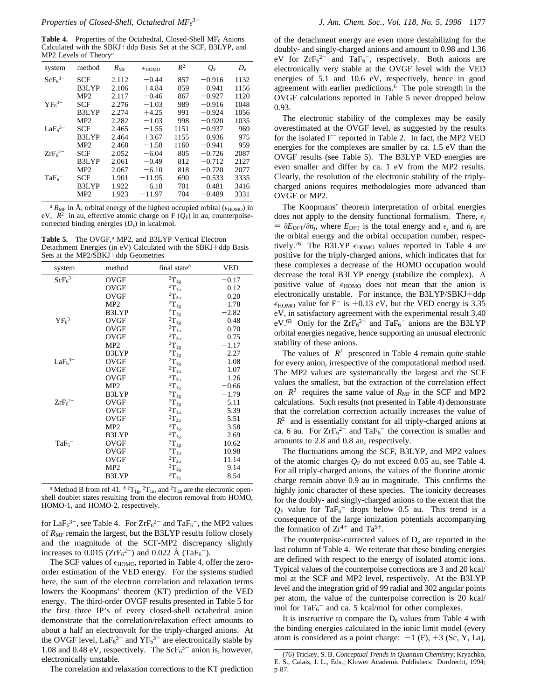Table 4. Properties of the Octahedral, Closed-Shell MF<sub>6</sub> Anions Calculated with the SBKJ+ddp Basis Set at the SCF, B3LYP, and MP2 Levels of Theory*<sup>a</sup>*

| system                         | method          | $R_{\rm MF}$ | $\epsilon_{HOMO}$ | $\langle R^2 \rangle$ | $\langle Q_{\rm F} \rangle$ | $D_{\rm e}$ |
|--------------------------------|-----------------|--------------|-------------------|-----------------------|-----------------------------|-------------|
| ScF <sub>6</sub> <sup>3–</sup> | SCF             | 2.112        | $-0.44$           | 857                   | $-0.916$                    | 1132        |
|                                | B3LYP           | 2.106        | $+4.84$           | 859                   | $-0.941$                    | 1156        |
|                                | MP <sub>2</sub> | 2.117        | $-0.46$           | 867                   | $-0.927$                    | 1120        |
| $YF_6^{3-}$                    | SCF             | 2.276        | $-1.03$           | 989                   | $-0.916$                    | 1048        |
|                                | B3LYP           | 2.274        | $+4.25$           | 991                   | $-0.924$                    | 1056        |
|                                | MP <sub>2</sub> | 2.282        | $-1.03$           | 998                   | $-0.920$                    | 1035        |
| LaF <sub>6</sub> <sup>3–</sup> | SCF             | 2.465        | $-1.55$           | 1151                  | $-0.937$                    | 969         |
|                                | B3LYP           | 2.464        | $+3.67$           | 1155                  | $-0.936$                    | 975         |
|                                | MP2             | 2.468        | $-1.58$           | 1160                  | $-0.941$                    | 959         |
| $ZrF_6^{2-}$                   | SCF             | 2.052        | $-6.04$           | 805                   | $-0.726$                    | 2087        |
|                                | B3LYP           | 2.061        | $-0.49$           | 812                   | $-0.712$                    | 2127        |
|                                | MP <sub>2</sub> | 2.067        | $-6.10$           | 818                   | $-0.720$                    | 2077        |
| $TaF_6$ <sup>-</sup>           | SCF             | 1.901        | $-11.95$          | 690                   | $-0.533$                    | 3335        |
|                                | B3LYP           | 1.922        | $-6.18$           | 701                   | $-0.481$                    | 3416        |
|                                | MP <sub>2</sub> | 1.923        | $-11.97$          | 704                   | $-0.489$                    | 3331        |
|                                |                 |              |                   |                       |                             |             |

 $^a$  *R*<sub>MF</sub> in Å, orbital energy of the highest occupied orbital ( $\epsilon$ <sub>HOMO</sub>) in eV,  $\langle R^2 \rangle$  in au, effective atomic charge on F ( $Q_F$ ) in au, counterpoisecorrected binding energies (*D*e) in kcal/mol.

**Table 5.** The OVGF,*<sup>a</sup>* MP2, and B3LYP Vertical Electron Detachment Energies (in eV) Calculated with the SBKJ+ddp Basis Sets at the MP2/SBKJ+ddp Geometries

| method          | final state $\mathfrak{b}$ | VED                                                                                                                                                                                                                                                                                                                                                                                                                                               |
|-----------------|----------------------------|---------------------------------------------------------------------------------------------------------------------------------------------------------------------------------------------------------------------------------------------------------------------------------------------------------------------------------------------------------------------------------------------------------------------------------------------------|
| OVGF            |                            | $-0.17$                                                                                                                                                                                                                                                                                                                                                                                                                                           |
| OVGF            |                            | 0.12                                                                                                                                                                                                                                                                                                                                                                                                                                              |
| <b>OVGF</b>     |                            | 0.20                                                                                                                                                                                                                                                                                                                                                                                                                                              |
| MP2             |                            | $-1.78$                                                                                                                                                                                                                                                                                                                                                                                                                                           |
| B3LYP           |                            | $-2.82$                                                                                                                                                                                                                                                                                                                                                                                                                                           |
| <b>OVGF</b>     |                            | 0.48                                                                                                                                                                                                                                                                                                                                                                                                                                              |
| <b>OVGF</b>     |                            | 0.70                                                                                                                                                                                                                                                                                                                                                                                                                                              |
| <b>OVGF</b>     |                            | 0.75                                                                                                                                                                                                                                                                                                                                                                                                                                              |
| MP2             |                            | $-1.17$                                                                                                                                                                                                                                                                                                                                                                                                                                           |
| B3LYP           |                            | $-2.27$                                                                                                                                                                                                                                                                                                                                                                                                                                           |
| OVGF            |                            | 1.08                                                                                                                                                                                                                                                                                                                                                                                                                                              |
| <b>OVGF</b>     |                            | 1.07                                                                                                                                                                                                                                                                                                                                                                                                                                              |
| <b>OVGF</b>     |                            | 1.26                                                                                                                                                                                                                                                                                                                                                                                                                                              |
| MP2             |                            | $-0.66$                                                                                                                                                                                                                                                                                                                                                                                                                                           |
| B3LYP           |                            | $-1.79$                                                                                                                                                                                                                                                                                                                                                                                                                                           |
| <b>OVGF</b>     |                            | 5.11                                                                                                                                                                                                                                                                                                                                                                                                                                              |
| OVGF            |                            | 5.39                                                                                                                                                                                                                                                                                                                                                                                                                                              |
| <b>OVGF</b>     |                            | 5.51                                                                                                                                                                                                                                                                                                                                                                                                                                              |
| MP2             |                            | 3.58                                                                                                                                                                                                                                                                                                                                                                                                                                              |
| B3LYP           |                            | 2.69                                                                                                                                                                                                                                                                                                                                                                                                                                              |
| OVGF            |                            | 10.62                                                                                                                                                                                                                                                                                                                                                                                                                                             |
| OVGF            |                            | 10.98                                                                                                                                                                                                                                                                                                                                                                                                                                             |
| <b>OVGF</b>     |                            | 11.14                                                                                                                                                                                                                                                                                                                                                                                                                                             |
| MP <sub>2</sub> |                            | 9.14                                                                                                                                                                                                                                                                                                                                                                                                                                              |
| B3LYP           |                            | 8.54                                                                                                                                                                                                                                                                                                                                                                                                                                              |
|                 |                            | ${}^{2}T_{1g}$<br>$^2{\rm T}_{1{\rm u}}$<br>$^2\!T_{2u}$<br>$^2\rm{T}_{1g}$<br>$^2\!T_{1g}$<br>$^2\rm{T}_{1g}$<br>$^2\!T_{1u}$<br>$^2\!T_{2u}$<br>${}^{2}T_{1g}$<br>$^2\!T_{1g}$<br>$^2\rm{T}_{1g}$<br>$^2\! T_{1u}$<br>$^2\!T_{2u}$<br>$^2\!T_{1g}$<br>$^2\!T_{1g}$<br>${}^{2}T_{1g}$<br>$^2\!T_{1u}$<br>$^2\!T_{2u}$<br>$^2{\rm T}_{\rm 1g}$<br>$^2\!T_{1g}$<br>$^2\!T_{1g}$<br>$^2\!T_{1u}$<br>$^2\!T_{2u}$<br>$^2\rm{T}_{1g}$<br>$^2\!T_{1g}$ |

<sup>*a*</sup> Method B from ref 41.  $b^{2}T_{1g}$ ,  $^{2}T_{1u}$ , and  $^{2}T_{2u}$  are the electronic openshell doublet states resulting from the electron removal from HOMO, HOMO-1, and HOMO-2, respectively.

for  $LaF<sub>6</sub><sup>3-</sup>$ , see Table 4. For  $ZrF<sub>6</sub><sup>2-</sup>$  and  $TaF<sub>6</sub><sup>-</sup>$ , the MP2 values of  $R_{\text{MF}}$  remain the largest, but the B3LYP results follow closely and the magnitude of the SCF-MP2 discrepancy slightly increases to  $0.015$  ( $ZrF_6^{2-}$ ) and  $0.022$  Å (Ta $F_6^{-}$ ).

The SCF values of  $\epsilon_{\rm HOMO}$ , reported in Table 4, offer the zeroorder estimation of the VED energy. For the systems studied here, the sum of the electron correlation and relaxation terms lowers the Koopmans' theorem (KT) prediction of the VED energy. The third-order OVGF results presented in Table 5 for the first three IP's of every closed-shell octahedral anion demonstrate that the correlation/relaxation effect amounts to about a half an electronvolt for the triply-charged anions. At the OVGF level,  $LaF_6^{3-}$  and  $YF_6^{3-}$  are electronically stable by 1.08 and 0.48 eV, respectively. The  $\text{ScF}_6^{3-}$  anion is, however, electronically unstable.

The correlation and relaxation corrections to the KT prediction

of the detachment energy are even more destabilizing for the doubly- and singly-charged anions and amount to 0.98 and 1.36 eV for  $ZrF_6^{2-}$  and  $TaF_6^-$ , respectively. Both anions are electronically very stable at the OVGF level with the VED energies of 5.1 and 10.6 eV, respectively, hence in good agreement with earlier predictions.6 The pole strength in the OVGF calculations reported in Table 5 never dropped below 0.93.

The electronic stability of the complexes may be easily overestimated at the OVGF level, as suggested by the results for the isolated  $F^-$  reported in Table 2. In fact, the MP2 VED energies for the complexes are smaller by ca. 1.5 eV than the OVGF results (see Table 5). The B3LYP VED energies are even smaller and differ by ca. 1 eV from the MP2 results. Clearly, the resolution of the electronic stability of the triplycharged anions requires methodologies more advanced than OVGF or MP2.

The Koopmans' theorem interpretation of orbital energies does not apply to the density functional formalism. There,  $\epsilon_i$  $= \partial E_{\text{DFT}}/\partial n_j$ , where  $E_{\text{DFT}}$  is the total energy and  $\epsilon_j$  and  $n_j$  are the orbital energy and the orbital occupation number, respectively.<sup>76</sup> The B3LYP  $\epsilon_{HOMO}$  values reported in Table 4 are positive for the triply-charged anions, which indicates that for these complexes a decrease of the HOMO occupation would decrease the total B3LYP energy (stabilize the complex). A positive value of  $\epsilon_{\text{HOMO}}$  does not mean that the anion is electronically unstable. For instance, the B3LYP/SBKJ+ddp  $\epsilon_{HOMO}$  value for F<sup>-</sup> is +0.13 eV, but the VED energy is 3.35 eV, in satisfactory agreement with the experimental result 3.40 eV.<sup>63</sup> Only for the  $ZrF_6^{2-}$  and  $TaF_6^{-}$  anions are the B3LYP orbital energies negative, hence supporting an unusual electronic stability of these anions.

The values of  $\langle R^2 \rangle$  presented in Table 4 remain quite stable for every anion, irrespective of the computational method used. The MP2 values are systematically the largest and the SCF values the smallest, but the extraction of the correlation effect on  $\langle R^2 \rangle$  requires the same value of  $R_{\text{MF}}$  in the SCF and MP2 calculations. Such results (not presented in Table 4) demonstrate that the correlation correction actually increases the value of  $\langle R^2 \rangle$  and is essentially constant for all triply-charged anions at ca. 6 au. For  $ZrF_6^{2-}$  and  $TaF_6^-$  the correction is smaller and amounts to 2.8 and 0.8 au, respectively.

The fluctuations among the SCF, B3LYP, and MP2 values of the atomic charges  $Q_F$  do not exceed 0.05 au, see Table 4. For all triply-charged anions, the values of the fluorine atomic charge remain above 0.9 au in magnitude. This confirms the highly ionic character of these species. The ionicity decreases for the doubly- and singly-charged anions to the extent that the  $Q_F$  value for TaF<sub>6</sub><sup>-</sup> drops below 0.5 au. This trend is a consequence of the large ionization potentials accompanying the formation of  $Zr^{4+}$  and  $Ta^{5+}$ .

The counterpoise-corrected values of  $D_e$  are reported in the last column of Table 4. We reiterate that these binding energies are defined with respect to the energy of isolated atomic ions. Typical values of the counterpoise corrections are 3 and 20 kcal/ mol at the SCF and MP2 level, respectively. At the B3LYP level and the integration grid of 99 radial and 302 angular points per atom, the value of the cunterpoise correction is 20 kcal/ mol for  $TaF_6^-$  and ca. 5 kcal/mol for other complexes.

It is instructive to compare the  $D_e$  values from Table 4 with the binding energies calculated in the ionic limit model (every atom is considered as a point charge:  $-1$  (F),  $+3$  (Sc, Y, La),

<sup>(76)</sup> Trickey, S. B. *Conceptual Trends in Quantum Chemistry*; Kryachko, E. S., Calais, J. L., Eds.; Kluwer Academic Publishers: Dordrecht, 1994; p 87.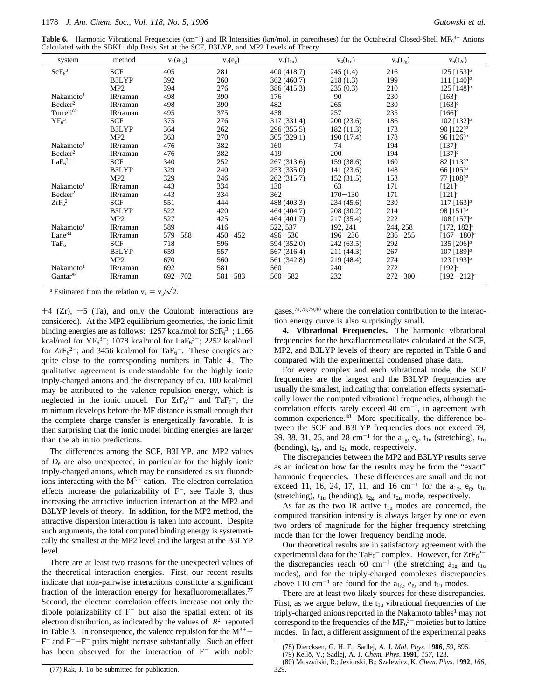Table 6. Harmonic Vibrational Frequencies (cm<sup>-1</sup>) and IR Intensities (km/mol, in parentheses) for the Octahedral Closed-Shell MF<sub>6</sub><sup>3-</sup> Anions Calculated with the SBKJ+ddp Basis Set at the SCF, B3LYP, and MP2 Levels of Theory

| system                         | method     | $v_1(a_{1g})$ | $v_2(e_g)$  | $v_3(t_{1u})$ | $v_4(t_{1u})$ | $v_5(t_{2g})$ | $v_6(t_{2u})$              |
|--------------------------------|------------|---------------|-------------|---------------|---------------|---------------|----------------------------|
| ScF <sub>6</sub> <sup>3–</sup> | <b>SCF</b> | 405           | 281         | 400 (418.7)   | 245(1.4)      | 216           | 125 $[153]^{a}$            |
|                                | B3LYP      | 392           | 260         | 362 (460.7)   | 218(1.3)      | 199           | 111 $[140]$ <sup>a</sup>   |
|                                | MP2        | 394           | 276         | 386 (415.3)   | 235(0.3)      | 210           | 125 $[148]$ <sup>a</sup>   |
| Nakamoto <sup>1</sup>          | IR/raman   | 498           | 390         | 176           | 90            | 230           | $[163]^{a}$                |
| Becker <sup>2</sup>            | IR/raman   | 498           | 390         | 482           | 265           | 230           | $[163]$ <sup>a</sup>       |
| Turrell <sup>82</sup>          | IR/raman   | 495           | 375         | 458           | 257           | 235           | $[166]^{a}$                |
| $YF_6^{3-}$                    | <b>SCF</b> | 375           | 276         | 317 (331.4)   | 200(23.6)     | 186           | 102 [132] <sup>a</sup>     |
|                                | B3LYP      | 364           | 262         | 296 (355.5)   | 182(11.3)     | 173           | 90 $[122]$ <sup>a</sup>    |
|                                | MP2        | 363           | 270         | 305 (329.1)   | 190 (17.4)    | 178           | 96 $[126]$ <sup>a</sup>    |
| Nakamoto <sup>1</sup>          | IR/raman   | 476           | 382         | 160           | 74            | 194           | $[137]^{a}$                |
| Becker <sup>2</sup>            | IR/raman   | 476           | 382         | 419           | 200           | 194           | $[137]^{a}$                |
| LaF <sub>6</sub> <sup>3–</sup> | <b>SCF</b> | 340           | 252         | 267 (313.6)   | 159 (38.6)    | 160           | 82 $[113]^{a}$             |
|                                | B3LYP      | 329           | 240         | 253 (335.0)   | 141(23.6)     | 148           | 66 $[105]$ <sup>a</sup>    |
|                                | MP2        | 329           | 246         | 262 (315.7)   | 152(31.5)     | 153           | 77 $[108]$ <sup>a</sup>    |
| Nakamoto <sup>1</sup>          | IR/raman   | 443           | 334         | 130           | 63            | 171           | $[121]^{a}$                |
| Becker <sup>2</sup>            | IR/raman   | 443           | 334         | 362           | $170 - 130$   | 171           | $[121]^{a}$                |
| $ZrF_6^{2-}$                   | <b>SCF</b> | 551           | 444         | 488 (403.3)   | 234(45.6)     | 230           | 117 $[163]$ <sup>a</sup>   |
|                                | B3LYP      | 522           | 420         | 464 (404.7)   | 208(30.2)     | 214           | 98 $[151]^{a}$             |
|                                | MP2        | 527           | 425         | 464 (401.7)   | 217(35.4)     | 222           | 108 $[157]$ <sup>a</sup>   |
| Nakamoto <sup>1</sup>          | IR/raman   | 589           | 416         | 522, 537      | 192, 241      | 244, 258      | $[172, 182]$ <sup>a</sup>  |
| Lane <sup>84</sup>             | IR/raman   | $579 - 588$   | $450 - 452$ | $496 - 530$   | $196 - 236$   | $236 - 255$   | $[167 - 180]$ <sup>a</sup> |
| $TaF_6$ <sup>-</sup>           | <b>SCF</b> | 718           | 596         | 594 (352.0)   | 242(63.5)     | 292           | 135 [206] <sup>a</sup>     |
|                                | B3LYP      | 659           | 557         | 567 (316.4)   | 211 (44.3)    | 267           | 107 [189] <sup>a</sup>     |
|                                | MP2        | 670           | 560         | 561 (342.8)   | 219 (48.4)    | 274           | 123 [193] <sup>a</sup>     |
| Nakamoto <sup>1</sup>          | IR/raman   | 692           | 581         | 560           | 240           | 272           | $[192]^{a}$                |
| Gantar <sup>85</sup>           | IR/raman   | $692 - 702$   | $581 - 583$ | $560 - 582$   | 232           | $272 - 300$   | $[192 - 212]$ <sup>a</sup> |

<sup>*a*</sup> Estimated from the relation  $v_6 = v_5/\sqrt{2}$ .

 $+4$  (Zr),  $+5$  (Ta), and only the Coulomb interactions are considered). At the MP2 equilibrium geometries, the ionic limit binding energies are as follows: 1257 kcal/mol for  $\text{ScF}_6^{3-}$ ; 1166 kcal/mol for  $YF_6^{3-}$ ; 1078 kcal/mol for La $F_6^{3-}$ ; 2252 kcal/mol for  $\text{ZrF}_6^2$ ; and 3456 kcal/mol for TaF<sub>6</sub><sup>-</sup>. These energies are quite close to the corresponding numbers in Table 4. The qualitative agreement is understandable for the highly ionic triply-charged anions and the discrepancy of ca. 100 kcal/mol may be attributed to the valence repulsion energy, which is neglected in the ionic model. For  $ZrF_6^{2-}$  and  $TaF_6^-$ , the minimum develops before the MF distance is small enough that the complete charge transfer is energetically favorable. It is then surprising that the ionic model binding energies are larger than the ab initio predictions.

The differences among the SCF, B3LYP, and MP2 values of *D*<sup>e</sup> are also unexpected, in particular for the highly ionic triply-charged anions, which may be considered as six fluoride ions interacting with the  $M^{3+}$  cation. The electron correlation effects increase the polarizability of  $F^-$ , see Table 3, thus increasing the attractive induction interaction at the MP2 and B3LYP levels of theory. In addition, for the MP2 method, the attractive dispersion interaction is taken into account. Despite such arguments, the total computed binding energy is systematically the smallest at the MP2 level and the largest at the B3LYP level.

There are at least two reasons for the unexpected values of the theoretical interaction energies. First, our recent results indicate that non-pairwise interactions constitute a significant fraction of the interaction energy for hexafluorometallates.<sup>77</sup> Second, the electron correlation effects increase not only the dipole polarizability of  $F^-$  but also the spatial extent of its electron distribution, as indicated by the values of  $\langle R^2 \rangle$  reported in Table 3. In consequence, the valence repulsion for the  $M^{3+}$  $F^-$  and  $F^-$ - $F^-$  pairs might increase substantially. Such an effect has been observed for the interaction of  $F^-$  with noble

gases,74,78,79,80 where the correlation contribution to the interaction energy curve is also surprisingly small.

**4. Vibrational Frequencies.** The harmonic vibrational frequencies for the hexafluorometallates calculated at the SCF, MP2, and B3LYP levels of theory are reported in Table 6 and compared with the experimental condensed phase data.

For every complex and each vibrational mode, the SCF frequencies are the largest and the B3LYP frequencies are usually the smallest, indicating that correlation effects systematically lower the computed vibrational frequencies, although the correlation effects rarely exceed 40  $cm^{-1}$ , in agreement with common experience.48 More specifically, the difference between the SCF and B3LYP frequencies does not exceed 59, 39, 38, 31, 25, and 28 cm<sup>-1</sup> for the  $a_{1g}$ ,  $e_{g}$ ,  $t_{1u}$  (stretching),  $t_{1u}$ (bending),  $t_{2g}$ , and  $t_{2u}$  mode, respectively.

The discrepancies between the MP2 and B3LYP results serve as an indication how far the results may be from the "exact" harmonic frequencies. These differences are small and do not exceed 11, 16, 24, 17, 11, and 16 cm<sup>-1</sup> for the  $a_{1g}$ ,  $e_{g}$ ,  $t_{1u}$ (stretching),  $t_{1u}$  (bending),  $t_{2g}$ , and  $t_{2u}$  mode, respectively.

As far as the two IR active  $t_{1u}$  modes are concerned, the computed transition intensity is always larger by one or even two orders of magnitude for the higher frequency stretching mode than for the lower frequency bending mode.

Our theoretical results are in satisfactory agreement with the experimental data for the TaF<sub>6</sub><sup>-</sup> complex. However, for  $\text{ZrF}_6^{2-}$ the discrepancies reach 60 cm<sup>-1</sup> (the stretching  $a_{1g}$  and  $t_{1u}$ modes), and for the triply-charged complexes discrepancies above 110 cm<sup>-1</sup> are found for the  $a_{1g}$ ,  $e_{g}$ , and  $t_{1u}$  modes.

There are at least two likely sources for these discrepancies. First, as we argue below, the  $t_{1u}$  vibrational frequencies of the triply-charged anions reported in the Nakamoto tables<sup>1</sup> may not correspond to the frequencies of the  $MF<sub>6</sub><sup>3-</sup>$  moieties but to lattice modes. In fact, a different assignment of the experimental peaks

329

<sup>(78)</sup> Diercksen, G. H. F.; Sadlej, A. J. *Mol*. *Phys*. **1986**, *59*, 896.

<sup>(79)</sup> Kello¨, V.; Sadlej, A. J. *Chem*. *Phys*. **1991**, *157*, 123. (80) Moszyn´ski, R.; Jeziorski, B.; Szalewicz, K. *Chem*. *Phys*. **1992**, *166*,

<sup>(77)</sup> Rak, J. To be submitted for publication.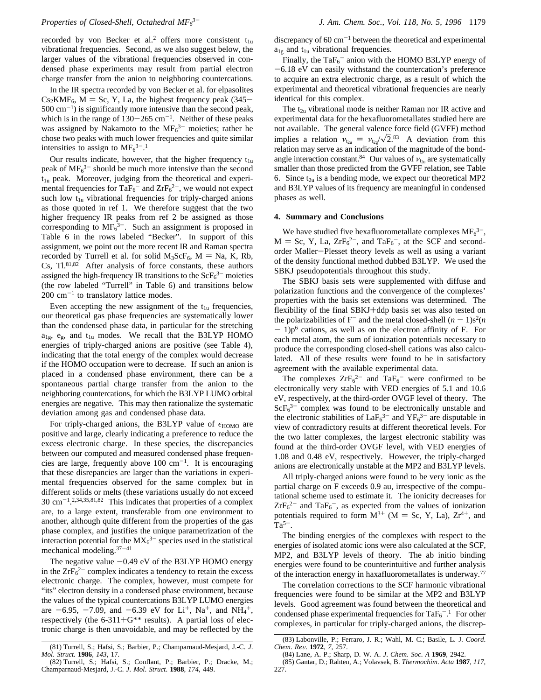recorded by von Becker et al.<sup>2</sup> offers more consistent  $t_{1u}$ vibrational frequencies. Second, as we also suggest below, the larger values of the vibrational frequencies observed in condensed phase experiments may result from partial electron charge transfer from the anion to neighboring countercations.

In the IR spectra recorded by von Becker et al. for elpasolites  $Cs<sub>2</sub>KMF<sub>6</sub>, M = Sc, Y, La, the highest frequency peak (345–$  $500 \text{ cm}^{-1}$ ) is significantly more intensive than the second peak, which is in the range of  $130-265$  cm<sup>-1</sup>. Neither of these peaks was assigned by Nakamoto to the  $MF<sub>6</sub><sup>3-</sup>$  moieties; rather he chose two peaks with much lower frequencies and quite similar intensities to assign to  $MF<sub>6</sub><sup>3–1</sup>$ 

Our results indicate, however, that the higher frequency  $t_{1u}$ peak of  $MF<sub>6</sub><sup>3-</sup>$  should be much more intensive than the second  $t<sub>1u</sub>$  peak. Moreover, judging from the theoretical and experimental frequencies for  $TaF_6^-$  and  $ZrF_6^{2-}$ , we would not expect such low  $t_{1u}$  vibrational frequencies for triply-charged anions as those quoted in ref 1. We therefore suggest that the two higher frequency IR peaks from ref 2 be assigned as those corresponding to  $MF_6^3$ -. Such an assignment is proposed in Table 6 in the rows labeled "Becker". In support of this assignment, we point out the more recent IR and Raman spectra recorded by Turrell et al. for solid  $M_3ScF_6$ ,  $M = Na$ , K, Rb, Cs,  $TI.^{81,82}$  After analysis of force constants, these authors assigned the high-frequency IR transitions to the  $\text{ScF}_6^{3-}$  moieties (the row labeled "Turrell" in Table 6) and transitions below  $200 \text{ cm}^{-1}$  to translatory lattice modes.

Even accepting the new assignment of the  $t_{1u}$  frequencies, our theoretical gas phase frequencies are systematically lower than the condensed phase data, in particular for the stretching  $a_{1g}$ ,  $e_{g}$ , and  $t_{1u}$  modes. We recall that the B3LYP HOMO energies of triply-charged anions are positive (see Table 4), indicating that the total energy of the complex would decrease if the HOMO occupation were to decrease. If such an anion is placed in a condensed phase environment, there can be a spontaneous partial charge transfer from the anion to the neighboring countercations, for which the B3LYP LUMO orbital energies are negative. This may then rationalize the systematic deviation among gas and condensed phase data.

For triply-charged anions, the B3LYP value of  $\epsilon_{HOMO}$  are positive and large, clearly indicating a preference to reduce the excess electronic charge. In these species, the discrepancies between our computed and measured condensed phase frequencies are large, frequently above  $100 \text{ cm}^{-1}$ . It is encouraging that these disrepancies are larger than the variations in experimental frequencies observed for the same complex but in different solids or melts (these variations usually do not exceed 30 cm-1. 2,34,35,81,82 This indicates that properties of a complex are, to a large extent, transferable from one environment to another, although quite different from the properties of the gas phase complex, and justifies the unique parametrization of the interaction potential for the  $MX_6^{3-}$  species used in the statistical mechanical modeling.37-<sup>41</sup>

The negative value  $-0.49$  eV of the B3LYP HOMO energy in the  $Zr\overline{F_6}^{2-}$  complex indicates a tendency to retain the excess electronic charge. The complex, however, must compete for "its" electron density in a condensed phase environment, because the values of the typical countercations B3LYP LUMO energies are  $-6.95$ ,  $-7.09$ , and  $-6.39$  eV for Li<sup>+</sup>, Na<sup>+</sup>, and NH<sub>4</sub><sup>+</sup>, respectively (the  $6-311+G^{**}$  results). A partial loss of electronic charge is then unavoidable, and may be reflected by the

discrepancy of  $60 \text{ cm}^{-1}$  between the theoretical and experimental  $a_{1g}$  and  $t_{1u}$  vibrational frequencies.

Finally, the  $TaF_6^-$  anion with the HOMO B3LYP energy of -6.18 eV can easily withstand the countercation's preference to acquire an extra electronic charge, as a result of which the experimental and theoretical vibrational frequencies are nearly identical for this complex.

The  $t_{2u}$  vibrational mode is neither Raman nor IR active and experimental data for the hexafluorometallates studied here are not available. The general valence force field (GVFF) method implies a relation  $v_{t_{2u}} = v_{t_{2g}}/\sqrt{2}$ .<sup>83</sup> A deviation from this relation may serve as an indication of the magnitude of the bondangle interaction constant.<sup>84</sup> Our values of  $v_{t_{2u}}$  are systematically smaller than those predicted from the GVFF relation, see Table 6. Since  $t_{2u}$  is a bending mode, we expect our theoretical MP2 and B3LYP values of its frequency are meaningful in condensed phases as well.

### **4. Summary and Conclusions**

We have studied five hexafluorometallate complexes  $MF<sub>6</sub><sup>3-</sup>$ ,  $M = Sc$ , Y, La,  $ZrF_6^{2-}$ , and  $TaF_6^-$ , at the SCF and secondorder Møller-Plesset theory levels as well as using a variant of the density functional method dubbed B3LYP. We used the SBKJ pseudopotentials throughout this study.

The SBKJ basis sets were supplemented with diffuse and polarization functions and the convergence of the complexes' properties with the basis set extensions was determined. The flexibility of the final SBKJ+ddp basis set was also tested on the polarizabilities of  $F^-$  and the metal closed-shell  $(n - 1)s^2(n)$  $- 1$ ) $p<sup>6</sup>$  cations, as well as on the electron affinity of F. For each metal atom, the sum of ionization potentials necessary to produce the corresponding closed-shell cations was also calculated. All of these results were found to be in satisfactory agreement with the available experimental data.

The complexes  $ZrF_6^{2-}$  and  $TaF_6^-$  were confirmed to be electronically very stable with VED energies of 5.1 and 10.6 eV, respectively, at the third-order OVGF level of theory. The  $\text{SCF}_6^{3-}$  complex was found to be electronically unstable and the electronic stabilities of  $LaF_6^{3-}$  and  $YF_6^{3-}$  are disputable in view of contradictory results at different theoretical levels. For the two latter complexes, the largest electronic stability was found at the third-order OVGF level, with VED energies of 1.08 and 0.48 eV, respectively. However, the triply-charged anions are electronically unstable at the MP2 and B3LYP levels.

All triply-charged anions were found to be very ionic as the partial charge on F exceeds 0.9 au, irrespective of the computational scheme used to estimate it. The ionicity decreases for  $ZrF_6^{2-}$  and  $TaF_6^-$ , as expected from the values of ionization potentials required to form  $M^{3+}$  (M = Sc, Y, La),  $Zr^{4+}$ , and  $Ta^{5+}$ .

The binding energies of the complexes with respect to the energies of isolated atomic ions were also calculated at the SCF, MP2, and B3LYP levels of theory. The ab initio binding energies were found to be counterintuitive and further analysis of the interaction energy in haxafluorometallates is underway.77

The correlation corrections to the SCF harmonic vibrational frequencies were found to be similar at the MP2 and B3LYP levels. Good agreement was found between the theoretical and condensed phase experimental frequencies for  $TaF_6^{-1}$  For other complexes, in particular for triply-charged anions, the discrep-

<sup>(81)</sup> Turrell, S.; Hafsi, S.; Barbier, P.; Champarnaud-Mesjard, J.-C. *J*. *Mol*. *Struct*. **1986**, *143*, 17.

<sup>(82)</sup> Turrell, S.; Hafsi, S.; Conflant, P.; Barbier, P.; Dracke, M.; Champarnaud-Mesjard, J.-C. *J*. *Mol*. *Struct*. **1988**, *174*, 449.

<sup>(83)</sup> Labonville, P.; Ferraro, J. R.; Wahl, M. C.; Basile, L. J. *Coord*. *Chem*. *Re*V. **1972**, *7*, 257.

<sup>(84)</sup> Lane, A. P.; Sharp, D. W. A. *J*. *Chem*. *Soc*. *A* **1969**, 2942.

<sup>(85)</sup> Gantar, D.; Rahten, A.; Volavsek, B. *Thermochim*. *Acta* **1987**, *117*,  $227$